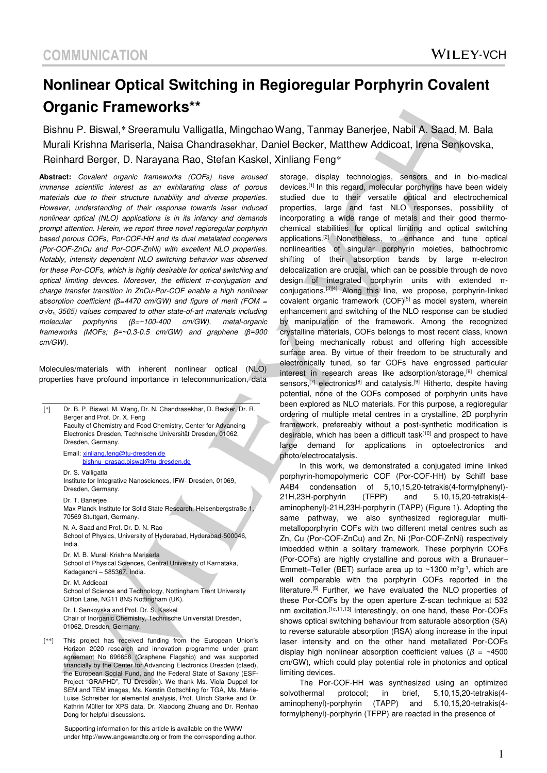# **Nonlinear Optical Switching in Regioregular Porphyrin Covalent Organic Frameworks\*\***

Bishnu P. Biswal,\* Sreeramulu Valligatla, Mingchao Wang, Tanmay Banerjee, Nabil A. Saad, M. Bala Murali Krishna Mariserla, Naisa Chandrasekhar, Daniel Becker, Matthew Addicoat, Irena Senkovska, Reinhard Berger, D. Narayana Rao, Stefan Kaskel, Xinliang Feng\*

**Abstract:** Covalent organic frameworks (COFs) have aroused immense scientific interest as an exhilarating class of porous materials due to their structure tunability and diverse properties. However, understanding of their response towards laser induced nonlinear optical (NLO) applications is in its infancy and demands prompt attention. Herein, we report three novel regioregular porphyrin based porous COFs, Por-COF-HH and its dual metalated congeners (Por-COF-ZnCu and Por-COF-ZnNi) with excellent NLO properties. Notably, intensity dependent NLO switching behavior was observed for these Por-COFs, which is highly desirable for optical switching and optical limiting devices. Moreover, the *efficient π*-conjugation and charge transfer transition in ZnCu-Por-COF enable a high nonlinear absorption coefficient ( $\beta$ =4470 cm/GW) and figure of merit (FOM = *σ*1*/σ*o, 3565) values compared to other state-of-art materials including molecular porphyrins *(β*=~100-400 cm/GW), metal-organic frameworks (*MOFs; β=~*0.3-0.5 cm/GW) and graphene (*β=*900 cm/GW).

Molecules/materials with inherent nonlinear optical (NLO) properties have profound importance in telecommunication, data

| [*]  | Dr. B. P. Biswal, M. Wang, Dr. N. Chandrasekhar, D. Becker, Dr. R.<br>Berger and Prof. Dr. X. Feng<br>Faculty of Chemistry and Food Chemistry, Center for Advancing<br>Electronics Dresden, Technische Universität Dresden, 01062,<br>Dresden, Germany.                                                                           |
|------|-----------------------------------------------------------------------------------------------------------------------------------------------------------------------------------------------------------------------------------------------------------------------------------------------------------------------------------|
|      | Email: xinliang.feng@tu-dresden.de<br>bishnu prasad.biswal@tu-dresden.de                                                                                                                                                                                                                                                          |
|      | Dr. S. Valligatla<br>Institute for Integrative Nanosciences, IFW- Dresden, 01069,<br>Dresden, Germany.                                                                                                                                                                                                                            |
|      | Dr. T. Banerjee<br>Max Planck Institute for Solid State Research, Heisenbergstraße 1<br>70569 Stuttgart, Germany.                                                                                                                                                                                                                 |
|      | N. A. Saad and Prof. Dr. D. N. Rao<br>School of Physics, University of Hyderabad, Hyderabad-500046,<br>India.                                                                                                                                                                                                                     |
|      | Dr. M. B. Murali Krishna Mariserla<br>School of Physical Sciences, Central University of Karnataka,<br>Kadaganchi - 585367, India.                                                                                                                                                                                                |
|      | Dr. M. Addicoat<br>School of Science and Technology, Nottingham Trent University<br>Clifton Lane, NG11 8NS Nottingham (UK).                                                                                                                                                                                                       |
|      | Dr. I. Senkovska and Prof. Dr. S. Kaskel<br>Chair of Inorganic Chemistry, Technische Universität Dresden,<br>01062, Dresden, Germany.                                                                                                                                                                                             |
| [**] | This project has received funding from the European Union's<br>Horizon 2020 research and innovation programme under grant<br>agreement No 696656 (Graphene Flagship) and was supported<br>financially by the Center for Advancing Electronics Dresden (cfaed),<br>the European Social Fund, and the Federal State of Saxony (ESF- |
|      | Project "GRAPHD", TU Dresden). We thank Ms. Viola Duppel for<br>SEM and TEM images, Ms. Kerstin Gottschling for TGA, Ms. Marie-<br>Luise Schreiber for elemental analysis, Prof. Ulrich Starke and Dr.<br>Kathrin Müller for XPS data, Dr. Xiaodong Zhuang and Dr. Renhao<br>Dong for helpful discussions.                        |

Supporting information for this article is available on the WWW under http://www.angewandte.org or from the corresponding author. storage, display technologies, sensors and in bio-medical devices.[1] In this regard, molecular porphyrins have been widely studied due to their versatile optical and electrochemical properties, large and fast NLO responses, possibility of incorporating a wide range of metals and their good thermochemical stabilities for optical limiting and optical switching applications.[2] Nonetheless, to enhance and tune optical nonlinearities of singular porphyrin moieties, bathochromic shifting of their absorption bands by large π-electron delocalization are crucial, which can be possible through de novo design of integrated porphyrin units with extended πconjugations.[3][4] Along this line, we propose, porphyrin-linked covalent organic framework (COF)<sup>[5]</sup> as model system, wherein enhancement and switching of the NLO response can be studied by manipulation of the framework. Among the recognized crystalline materials, COFs belongs to most recent class, known for being mechanically robust and offering high accessible surface area. By virtue of their freedom to be structurally and electronically tuned, so far COFs have engrossed particular interest in research areas like adsorption/storage,<sup>[6]</sup> chemical sensors,<sup>[7]</sup> electronics<sup>[8]</sup> and catalysis.<sup>[9]</sup> Hitherto, despite having potential, none of the COFs composed of porphyrin units have been explored as NLO materials. For this purpose, a regioregular ordering of multiple metal centres in a crystalline, 2D porphyrin ramework, prefereably without a post-synthetic modification is lesirable, which has been a difficult task<sup>[10]</sup> and prospect to have arge demand for applications in optoelectronics and photo/electrocatalysis.

In this work, we demonstrated a conjugated imine linked porphyrin-homopolymeric COF (Por-COF-HH) by Schiff base A4B4 condensation of 5,10,15,20-tetrakis(4-formylphenyl)- 21H,23H-porphyrin (TFPP) and 5,10,15,20-tetrakis(4 aminophenyl)-21H,23H-porphyrin (TAPP) (Figure 1). Adopting the same pathway, we also synthesized regioregular multimetalloporphyrin COFs with two different metal centres such as Zn, Cu (Por-COF-ZnCu) and Zn, Ni (Por-COF-ZnNi) respectively mbedded within a solitary framework. These porphyrin COFs Por-COFs) are highly crystalline and porous with a Brunauer– Emmett-Teller (BET) surface area up to ~1300  $m^2g^{-1}$ , which are well comparable with the porphyrin COFs reported in the iterature.<sup>[5]</sup> Further, we have evaluated the NLO properties of hese Por-COFs by the open aperture Z-scan technique at 532 m excitation.<sup>[1c,11,13]</sup> Interestingly, on one hand, these Por-COFs shows optical switching behaviour from saturable absorption (SA) to reverse saturable absorption (RSA) along increase in the input aser intensity and on the other hand metallated Por-COFs display high nonlinear absorption coefficient values (*β* = ~4500 cm/GW), which could play potential role in photonics and optical limiting devices.

The Por-COF-HH was synthesized using an optimized solvothermal protocol; in brief, 5,10,15,20-tetrakis(4 aminophenyl)-porphyrin (TAPP) and 5,10,15,20-tetrakis(4 ormylphenyl)-porphyrin (TFPP) are reacted in the presence of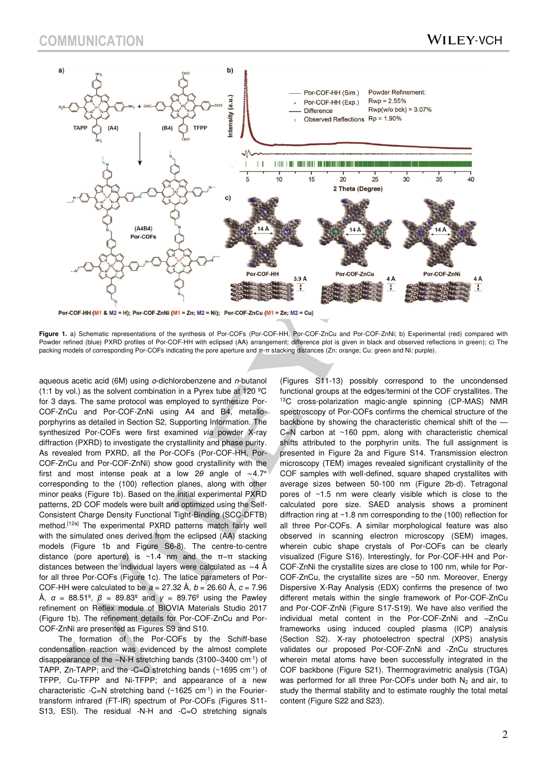

Por-COF-HH (M1 & M2 = H); Por-COF-ZnNi (M1 = Zn; M2 = Ni); Por-COF-ZnCu (M1 = Zn; M2 = Cu)

Figure 1, a) Schematic representations of the synthesis of Por-COF<sub>5</sub> (Por-COF-HH, Por-COF-ZnCu and Por-COF-ZnNi; b) Experimental (red) compared with Powder refined (blue) PXRD profiles of Por-COF-HH with eclipsed (AA) arrangement; difference plot is given in black and observed reflections in green); c) The packing models of corresponding Por-COFs indicating the pore aperture and π-π stacking distances (Zn: orange; Cu: green and Ni: purple).

aqueous acetic acid (6M) using o-dichlorobenzene and n-butanol (1:1 by vol.) as the solvent combination in a Pyrex tube at 120  $^{\circ}$ C for 3 days. The same protocol was employed to synthesize Por-COF-ZnCu and Por-COF-ZnNi using A4 and B4, metalloporphyrins as detailed in Section S2, Supporting Information. The synthesized Por-COFs were first examined via powder X-ray diffraction (PXRD) to investigate the crystallinity and phase purity. As revealed from PXRD, all the Por-COFs (Por-COF-HH, Por-COF-ZnCu and Por-COF-ZnNi) show good crystallinity with the first and most intense peak at a low 2*θ* angle of ∼4.7° corresponding to the (100) reflection planes, along with other minor peaks (Figure 1b). Based on the initial experimental PXRD patterns, 2D COF models were built and optimized using the Self-Consistent Charge Density Functional Tight-Binding (SCC-DFTB) method.<sup>[12a]</sup> The experimental PXRD patterns match fairly well with the simulated ones derived from the eclipsed (AA) stacking models (Figure 1b and Figure S6-8). The centre-to-centre distance (pore aperture) is ~1.4 nm and the π–π stacking distances between the individual layers were calculated as ∼4 Å for all three Por-COFs (Figure 1c). The latice parameters of Por-COF-HH were calculated to be  $a = 27.32 \text{ Å}, b = 26.60 \text{ Å}, c = 7.96$ Å,  $\alpha = 88.51^\circ$ ,  $\beta = 89.83^\circ$  and  $\gamma = 89.76^\circ$  using the Pawley refinement on Reflex module of BIOVIA Materials Studio 2017 (Figure 1b). The refinement details for Por-COF-ZnCu and Por-COF-ZnNi are presented as Figures S9 and S10.

The formation of the Por-COFs by the Schiff-base condensation reaction was evidenced by the almost complete disappearance of the –N-H stretching bands (3100–3400 cm-1) of TAPP, Zn-TAPP; and the -C=O stretching bands (~1695 cm-1) of TFPP, Cu-TFPP and Ni-TFPP; and appearance of a new characteristic -C=N stretching band  $(\sim 1625 \text{ cm}^{-1})$  in the Fouriertransform infrared (FT-IR) spectrum of Por-COFs (Figures S11- S13, ESI). The residual -N-H and -C=O stretching signals

(Figures S11-13) possibly correspond to the uncondensed functional groups at the edges/termini of the COF crystallites. The <sup>13</sup>C cross-polarization magic-angle spinning (CP-MAS) NMR spectroscopy of Por-COFs confirms the chemical structure of the backbone by showing the characteristic chemical shift of the —  $C=N$  carbon at  $\sim$ 160 ppm, along with characteristic chemical shifts attributed to the porphyrin units. The full assignment is presented in Figure 2a and Figure S14. Transmission electron microscopy (TEM) images revealed significant crystallinity of the COF samples with well-defined, square shaped crystallites with average sizes between 50-100 nm (Figure 2b-d). Tetragonal pores of ~1.5 nm were clearly visible which is close to the calculated pore size. SAED analysis shows a prominent diffraction ring at ~1.8 nm corresponding to the (100) reflection for all three Por-COFs. A similar morphological feature was also observed in scanning electron microscopy (SEM) images, wherein cubic shape crystals of Por-COFs can be clearly visualized (Figure S16). Interestingly, for Por-COF-HH and Por-COF-ZnNi the crystallite sizes are close to 100 nm, while for Por-COF-ZnCu, the crystallite sizes are ~50 nm. Moreover, Energy Dispersive X-Ray Analysis (EDX) confirms the presence of two different metals within the single framework of Por-COF-ZnCu and Por-COF-ZnNi (Figure S17-S19). We have also verified the individual metal content in the Por-COF-ZnNi and –ZnCu frameworks using induced coupled plasma (ICP) analysis (Section S2). X-ray photoelectron spectral (XPS) analysis validates our proposed Por-COF-ZnNi and -ZnCu structures wherein metal atoms have been successfully integrated in the COF backbone (Figure S21). Thermogravimetric analysis (TGA) was performed for all three Por-COFs under both  $N_2$  and air, to study the thermal stability and to estimate roughly the total metal content (Figure S22 and S23).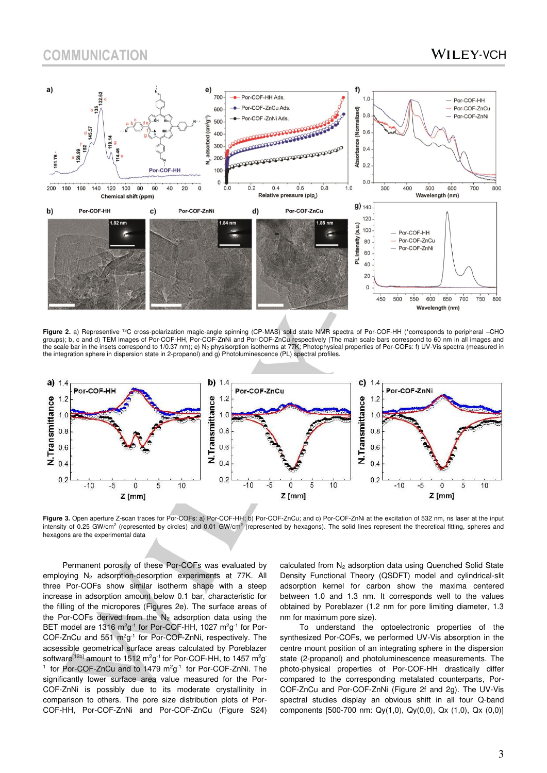### **WILEY-VCH**



Figure 2. a) Representive <sup>13</sup>C cross-polarization magic-angle spinning (CP-MAS) solid state NMR spectra of Por-COF-HH (\*corresponds to peripheral –CHO<br>groups); b, c and d) TEM images of Por-COF-HH, Por-COF-ZnNi and Por-CO the scale bar in the insets correspond to 1/0.37 nm); e) N2 physisorption isotherms at 77K; Photophysical properties of Por-COFs: f) UV-Vis spectra (measured in the integration sphere in dispersion state in 2-propanol) and g) Photoluminescence (PL) spectral profiles.



Figure 3. Open aperture Z-scan traces for Por-COFs: a) Por-COF-HH; b) Por-COF-ZnCu; and c) Por-COF-ZnNi at the excitation of 532 nm, ns laser at the input intensity of 0.25 GW/cm<sup>2</sup> (represented by circles) and 0.01 GW/cm<sup>2</sup> (represented by hexagons). The solid lines represent the theoretical fitting, spheres and hexagons are the experimental data

Permanent porosity of these Por-COFs was evaluated by employing  $N_2$  adsorption-desorption experiments at 77K. All three Por-COFs show similar isotherm shape with a steep increase in adsorption amount below 0.1 bar, characteristic for the filling of the micropores (Figures 2e). The surface areas of the Por-COFs derived from the  $N_2$  adsorption data using the BET model are 1316  $m^2g^{-1}$  for Por-COF-HH, 1027  $m^2g^{-1}$  for Por-COF-ZnCu and  $551 \text{ m}^2\text{g}^{-1}$  for Por-COF-ZnNi, respectively. The acsessible geometrical surface areas calculated by Poreblazer software<sup>[12b]</sup> amount to 1512 m<sup>2</sup>g<sup>-1</sup> for Por-COF-HH, to 1457 m<sup>2</sup>g <sup>1</sup> for Por-COF-ZnCu and to 1479  $m^2g^{-1}$  for Por-COF-ZnNi. The significantly lower surface area value measured for the Por-COF-ZnNi is possibly due to its moderate crystallinity in comparison to others. The pore size distribution plots of Por-COF-HH, Por-COF-ZnNi and Por-COF-ZnCu (Figure S24)

calculated from N<sub>2</sub> adsorption data using Quenched Solid State Density Functional Theory (QSDFT) model and cylindrical-slit adsorption kernel for carbon show the maxima centered between 1.0 and 1.3 nm. It corresponds well to the values obtained by Poreblazer (1.2 nm for pore limiting diameter, 1.3 nm for maximum pore size).

To understand the optoelectronic properties of the synthesized Por-COFs, we performed UV-Vis absorption in the centre mount position of an integrating sphere in the dispersion state (2-propanol) and photoluminescence measurements. The photo-physical properties of Por-COF-HH drastically differ compared to the corresponding metalated counterparts, Por-COF-ZnCu and Por-COF-ZnNi (Figure 2f and 2g). The UV-Vis spectral studies display an obvious shift in all four Q-band components [500-700 nm: Qy(1,0), Qy(0,0), Qx (1,0), Qx (0,0)]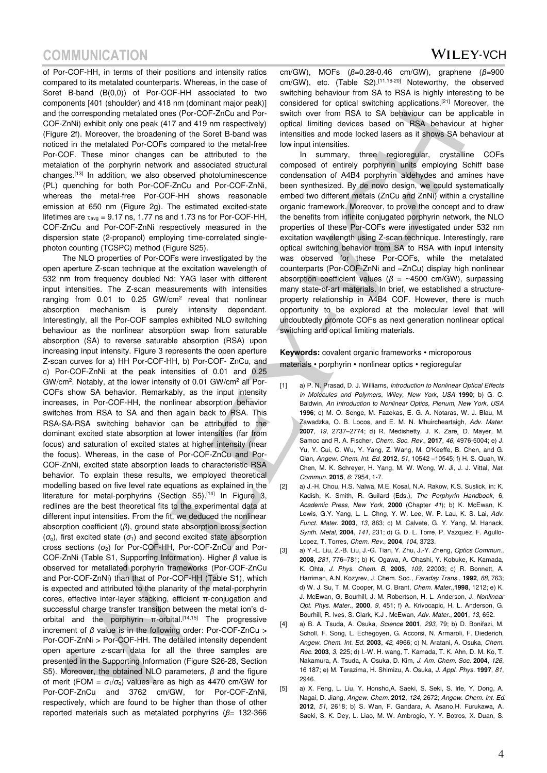# **COMMUNICATION**

of Por-COF-HH, in terms of their positions and intensity ratios compared to its metalated counterparts. Whereas, in the case of Soret B-band (B(0,0)) of Por-COF-HH associated to two components [401 (shoulder) and 418 nm (dominant major peak)] and the corresponding metalated ones (Por-COF-ZnCu and Por-COF-ZnNi) exhibit only one peak (417 and 419 nm respectively) (Figure 2f). Moreover, the broadening of the Soret B-band was noticed in the metalated Por-COFs compared to the metal-free Por-COF. These minor changes can be attributed to the metalation of the porphyrin network and associated structural changes.[13] In addition, we also observed photoluminescence (PL) quenching for both Por-COF-ZnCu and Por-COF-ZnNi, whereas the metal-free Por-COF-HH shows reasonable emission at 650 nm (Figure 2g). The estimated excited-state lifetimes are  $\tau_{\text{av}}$  = 9.17 ns, 1.77 ns and 1.73 ns for Por-COF-HH, COF-ZnCu and Por-COF-ZnNi respectively measured in the dispersion state (2-propanol) employing time-correlated singlephoton counting (TCSPC) method (Figure S25).

The NLO properties of Por-COFs were investigated by the open aperture Z-scan technique at the excitation wavelength of 532 nm from frequency doubled Nd: YAG laser with different input intensities. The Z-scan measurements with intensities ranging from  $0.01$  to  $0.25$  GW/cm<sup>2</sup> reveal that nonlinear absorption mechanism is purely intensity dependant. Interestingly, all the Por-COF samples exhibited NLO switching behaviour as the nonlinear absorption swap from saturable absorption (SA) to reverse saturable absorption (RSA) upon increasing input intensity. Figure 3 represents the open aperture Z-scan curves for a) HH Por-COF-HH, b) Por-COF- ZnCu, and c) Por-COF-ZnNi at the peak intensities of 0.01 and 0.25 GW/cm<sup>2</sup>. Notably, at the lower intensity of 0.01 GW/cm<sup>2</sup> all Por-COFs show SA behavior. Remarkably, as the input intensity increases, in Por-COF-HH, the nonlinear absorption behavior switches from RSA to SA and then again back to RSA. This RSA-SA-RSA switching behavior can be attributed to the dominant excited state absorption at lower intensities (far from focus) and saturation of excited states at higher intensity (near the focus). Whereas, in the case of Por-COF-ZnCu and Por-COF-ZnNi, excited state absorption leads to characteristic RSA behavior. To explain these results, we employed theoretical modelling based on five level rate equations as explained in the literature for metal-porphyrins (Section S5).<sup>[14]</sup> In Figure 3, redlines are the best theoretical fits to the experimental data at different input intensities. From the fit, we deduced the nonlinear absorption coefficient (*β*), ground state absorption cross section  $(\sigma_{o})$ , first excited state  $(\sigma_{1})$  and second excited state absorption cross sections (*σ*2) for Por-COF-HH, Por-COF-ZnCu and Por-COF-ZnNi (Table S1, Supporting Information). Higher *β* value is observed for metallated porphyrin frameworks (Por-COF-ZnCu and Por-COF-ZnNi) than that of Por-COF-HH (Table S1), which is expected and attributed to the planarity of the metal-porphyrin cores, effective inter-layer stacking, efficient π-conjugation and successful charge transfer transition between the metal ion's dorbital and the porphyrin  $π$ -orbital.<sup>[14,15]</sup> The progressive increment of *β* value is in the following order: Por-COF-ZnCu > Por-COF-ZnNi > Por-COF-HH. The detailed intensity dependent open aperture z-scan data for all the three samples are presented in the Supporting Information (Figure S26-28, Section S5). Moreover, the obtained NLO parameters, *β* and the figure of merit (FOM =  $\sigma_1/\sigma_0$ ) values are as high as 4470 cm/GW for Por-COF-ZnCu and 3762 cm/GW, for Por-COF-ZnNi, respectively, which are found to be higher than those of other reported materials such as metalated porphyrins (*β*= 132-366

cm/GW), MOFs (*β*=0.28-0.46 cm/GW), graphene (*β*=900 cm/GW), etc. (Table S2).<sup>[11,16-20]</sup> Noteworthy, the observed switching behaviour from SA to RSA is highly interesting to be considered for optical switching applications.[21] Moreover, the switch over from RSA to SA behaviour can be applicable in optical limiting devices based on RSA behaviour at higher intensities and mode locked lasers as it shows SA behaviour at low input intensities.

In summary, three regioregular, crystalline COFs composed of entirely porphyrin units employing Schiff base condensation of A4B4 porphyrin aldehydes and amines have been synthesized. By de novo design, we could systematically embed two different metals (ZnCu and ZnNi) within a crystalline organic framework. Moreover, to prove the concept and to draw the benefits from infinite conjugated porphyrin network, the NLO properties of these Por-COFs were investigated under 532 nm excitation wavelength using Z-scan technique. Interestingly, rare optical switching behavior from SA to RSA with input intensity was observed for these Por-COFs, while the metalated counterparts (Por-COF-ZnNi and –ZnCu) display high nonlinear absorption coefficient values (*β* = ~4500 cm/GW), surpassing many state-of-art materials. In brief, we established a structureproperty relationship in A4B4 COF. However, there is much opportunity to be explored at the molecular level that will undoubtedly promote COFs as next generation nonlinear optical switching and optical limiting materials.

**Keywords:** covalent organic frameworks • microporous materials • porphyrin • nonlinear optics • regioregular

- [1] a) P. N. Prasad, D. J. Williams, Introduction to Nonlinear Optical Effects in Molecules and Polymers, Wiley, New York, USA **1990**; b) G. C. Baldwin, An Introduction to Nonlinear Optics, Plenum, New York, USA **1996**; c) M. O. Senge, M. Fazekas, E. G. A. Notaras, W. J. Blau, M. Zawadzka, O. B. Locos, and E. M. N. Mhuircheartaigh, Adv. Mater. 2007, 19, 2737-2774; d) R. Medishetty, J. K. Zare, D. Mayer, M. Samoc and R. A. Fischer, Chem. Soc. Rev., **2017**, 46, 4976-5004; e) J. Yu, Y. Cui, C. Wu, Y. Yang, Z. Wang, M. O'Keeffe, B. Chen, and G. Qian, Angew. Chem. Int. Ed. **2012**, 51, 10542 –10545; f) H. S. Quah, W. Chen, M. K. Schreyer, H. Yang, M. W. Wong, W. Ji, J. J. Vittal, Nat. Commun. **2015**, 6: 7954, 1-7.
- [2] a) J.-H. Chou, H.S. Nalwa, M.E. Kosal, N.A. Rakow, K.S. Suslick, in: K. Kadish, K. Smith, R. Guilard (Eds.), The Porphyrin Handbook, 6, Academic Press, New York, **2000** (Chapter 41); b) K. McEwan, K. Lewis, G.Y. Yang, L. L. Chng, Y. W. Lee, W. P. Lau, K. S. Lai, Adv. Funct. Mater. **2003**, 13, 863; c) M. Calvete, G. Y. Yang, M. Hanack, Synth. Metal, **2004**, 141, 231; d) G. D. L. Torre, P. Vazquez, F. Agullo-Lopez, T. Torres, Chem. Rev., **2004**, 104, 3723.
- [3] a) Y.-L. Liu, Z.-B. Liu, J.-G. Tian, Y. Zhu, J.-Y. Zheng, Optics Commun., **2008**, 281, 776–781; b) K. Ogawa, A. Ohashi, Y. Kobuke, K. Kamada, K. Ohta, J. Phys. Chem. B, **2005**, 109, 22003; c) R. Bonnett, A. Harriman, A.N. Kozyrev, J. Chem. Soc., Faraday Trans., **1992**, 88, 763; d) W. J. Su, T. M. Cooper, M. C. Brant, Chem. Mater.,**1998**, 1212; e) K. J. McEwan, G. Bourhill, J. M. Robertson, H. L. Anderson, J. Nonlinear Opt. Phys. Mater., **2000**, 9, 451; f) A. Krivocapic, H. L. Anderson, G. Bourhill, R. Ives, S. Clark, K.J . McEwan, Adv. Mater., **2001**, 13, 652.
- [4] a) B. A. Tsuda, A. Osuka, Science **2001**, 293, 79; b) D. Bonifazi, M. Scholl, F. Song, L. Echegoyen, G. Accorsi, N. Armaroli, F. Diederich, Angew. Chem. Int. Ed. **2003**, 42, 4966; c) N. Aratani, A. Osuka, Chem. Rec. **2003**, 3, 225; d) I.-W. H. wang, T. Kamada, T. K. Ahn, D. M. Ko, T. Nakamura, A. Tsuda, A. Osuka, D. Kim, J. Am. Chem. Soc. **2004**, 126, 16 187; e) M. Terazima, H. Shimizu, A. Osuka, J. Appl. Phys. **1997**, 81, 2946.
- [5] a) X. Feng, L. Liu, Y. Honsho,A. Saeki, S. Seki, S. Irle, Y. Dong, A. Nagai, D. Jiang, Angew. Chem. **2012**, 124, 2672; Angew. Chem. Int. Ed. **2012**, 51, 2618; b) S. Wan, F. Gandara, A. Asano,H. Furukawa, A. Saeki, S. K. Dey, L. Liao, M. W. Ambrogio, Y. Y. Botros, X. Duan, S.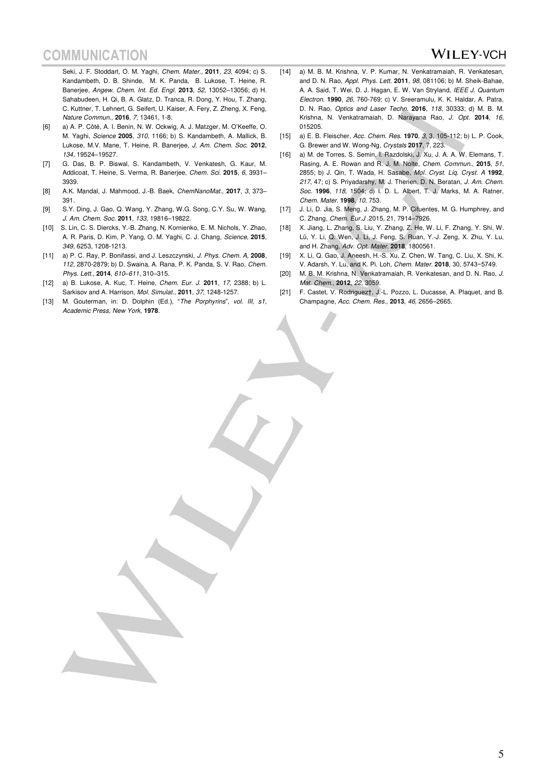### **WILEY-VCH**

Seki, J. F. Stoddart, O. M. Yaghi, Chem. Mater., **2011**, 23, 4094; c) S. Kandambeth, D. B. Shinde, M. K. Panda, B. Lukose, T. Heine, R. Banerjee, Angew. Chem. Int. Ed. Engl. **2013**, 52, 13052–13056; d) H. Sahabudeen, H. Qi, B. A. Glatz, D. Tranca, R. Dong, Y. Hou, T. Zhang, C. Kuttner, T. Lehnert, G. Seifert, U. Kaiser, A. Fery, Z. Zheng, X. Feng, Nature Commun., **2016**, 7, 13461, 1-8.

- [6] a) A. P. Côté, A. I. Benin, N. W. Ockwig, A. J. Matzger, M. O'Keeffe, O. M. Yaghi, Science **2005**, 310, 1166; b) S. Kandambeth, A. Mallick, B. Lukose, M.V. Mane, T. Heine, R. Banerjee, J. Am. Chem. Soc. **2012**, 134, 19524–19527.
- [7] G. Das, B. P. Biswal, S. Kandambeth, V. Venkatesh, G. Kaur, M. Addicoat, T. Heine, S. Verma, R. Banerjee, Chem. Sci. **2015**, 6, 3931– 3939.
- [8] A.K. Mandal, J. Mahmood, J.-B. Baek, ChemNanoMat., **2017**, 3, 373– 391.
- [9] S.Y. Ding, J. Gao, Q. Wang, Y. Zhang, W.G. Song, C.Y. Su, W. Wang, J. Am. Chem. Soc. **2011**, 133, 19816–19822.
- [10] S. Lin, C. S. Diercks, Y.-B. Zhang, N. Kornienko, E. M. Nichols, Y. Zhao, A. R. Paris, D. Kim, P. Yang, O. M. Yaghi, C. J. Chang, Science, **2015**, 349, 6253, 1208-1213.
- [11] a) P. C. Ray, P. Bonifassi, and J. Leszczynski, J. Phys. Chem. A, **2008**, 112, 2870-2879; b) D. Swaina, A. Rana, P. K. Panda, S. V. Rao, Chem. Phys. Lett., **2014**, 610*–*611, 310–315.
- [12] a) B. Lukose, A. Kuc, T. Heine, Chem. Eur. J. **2011**, 17, 2388; b) L. Sarkisov and A. Harrison, Mol. Simulat., **2011**, 37, 1248-1257.
- [13] M. Gouterman, in: D. Dolphin (Ed.), "The Porphyrins", vol. III, s1, Academic Press, New York, **1978**.
- [14] a) M. B. M. Krishna, V. P. Kumar, N. Venkatramaiah, R. Venkatesan, and D. N. Rao, Appl. Phys. Lett. **2011**, 98, 081106; b) M. Sheik-Bahae, A. A. Said, T. Wei, D. J. Hagan, E. W. Van Stryland, IEEE J. Quantum Electron. **1990**, 26, 760-769; c) V. Sreeramulu, K. K. Haldar, A. Patra, D. N. Rao, Optics and Laser Techn. **2016**, 118, 30333; d) M. B. M. Krishna, N. Venkatramaiah, D. Narayana Rao, J. Opt. **2014**, 16, 015205.
- [15] a) E. B. Fleischer, Acc. Chem. Res. **1970**, 3, 3, 105-112; b) L. P. Cook, G. Brewer and W. Wong-Ng, Crystals **2017**, 7, 223.
- [16] a) M. de Torres, S. Semin, I. Razdolski, J. Xu, J. A. A. W. Elemans, T. Rasing, A. E. Rowan and R. J. M. Nolte, Chem. Commun., **2015**, 51, 2855; b) J. Qin, T. Wada, H. Sasabe, Mol. Cryst. Liq. Cryst. A **1992**, 217, 47; c) S. Priyadarshy, M. J. Therien, D. N. Beratan, J. Am. Chem. Soc. **1996**, 118, 1504; d) I. D. L. Albert, T. J. Marks, M. A. Ratner, Chem. Mater. **1998**, 10, 753.
- [17] J. Li, D. Jia, S. Meng, J. Zhang, M. P. Cifuentes, M. G. Humphrey, and C. Zhang, Chem. Eur.J .2015, 21, 7914–7926.
- [18] X. Jiang, L. Zhang, S. Liu, Y. Zhang, Z. He, W. Li, F. Zhang, Y. Shi, W. Lü, Y. Li, Q. Wen, J. Li, J. Feng, S. Ruan, Y.-J. Zeng, X. Zhu, Y. Lu, and H. Zhang, Adv. Opt. Mater. **2018**, 1800561.
- [19] X. Li, Q. Gao, J. Aneesh, H.-S. Xu, Z. Chen, W. Tang, C. Liu, X. Shi, K. V. Adarsh, Y. Lu, and K. Pi. Loh, Chem. Mater. **2018**, 30, 5743−5749.
- [20] M. B. M. Krishna, N. Venkatramaiah, R. Venkatesan, and D. N. Rao, J. Mat. Chem., **2012**, 22, 3059.
- [21] F. Castet, V. Rodriguez†, J.-L. Pozzo, L. Ducasse, A. Plaquet, and B. Champagne, Acc. Chem. Res., **2013**, 46, 2656–2665.